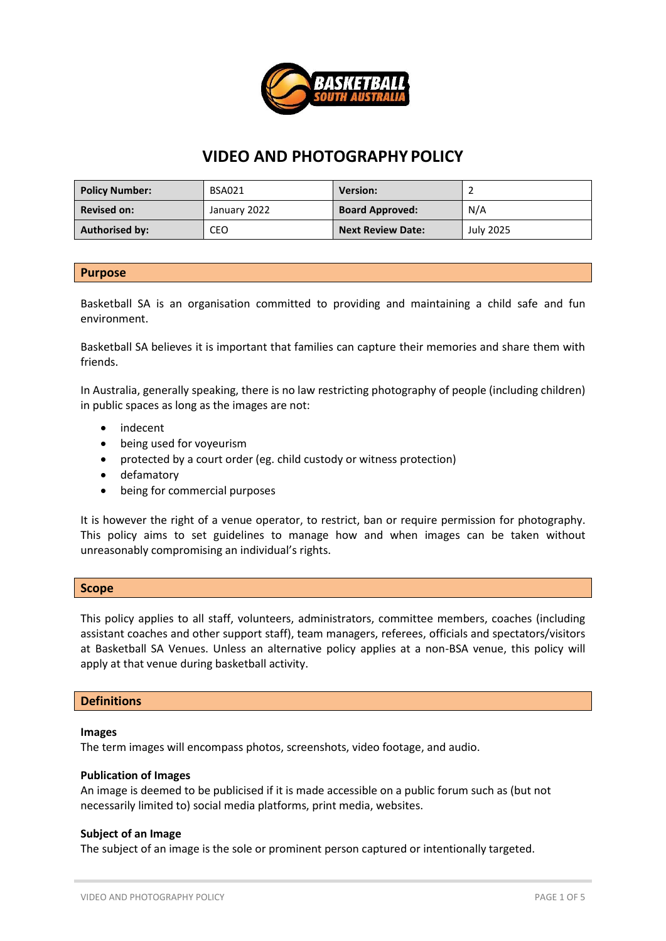

# **VIDEO AND PHOTOGRAPHY POLICY**

| <b>Policy Number:</b> | <b>BSA021</b> | <b>Version:</b>          |           |
|-----------------------|---------------|--------------------------|-----------|
| <b>Revised on:</b>    | January 2022  | <b>Board Approved:</b>   | N/A       |
| <b>Authorised by:</b> | CEO           | <b>Next Review Date:</b> | July 2025 |

#### **Purpose**

Basketball SA is an organisation committed to providing and maintaining a child safe and fun environment.

Basketball SA believes it is important that families can capture their memories and share them with friends.

In Australia, generally speaking, there is no law restricting photography of people (including children) in public spaces as long as the images are not:

- indecent
- being used for voyeurism
- protected by a court order (eg. child custody or witness protection)
- defamatory
- being for commercial purposes

It is however the right of a venue operator, to restrict, ban or require permission for photography. This policy aims to set guidelines to manage how and when images can be taken without unreasonably compromising an individual's rights.

#### **Scope**

This policy applies to all staff, volunteers, administrators, committee members, coaches (including assistant coaches and other support staff), team managers, referees, officials and spectators/visitors at Basketball SA Venues. Unless an alternative policy applies at a non-BSA venue, this policy will apply at that venue during basketball activity.

#### **Definitions**

#### **Images**

The term images will encompass photos, screenshots, video footage, and audio.

#### **Publication of Images**

An image is deemed to be publicised if it is made accessible on a public forum such as (but not necessarily limited to) social media platforms, print media, websites.

#### **Subject of an Image**

The subject of an image is the sole or prominent person captured or intentionally targeted.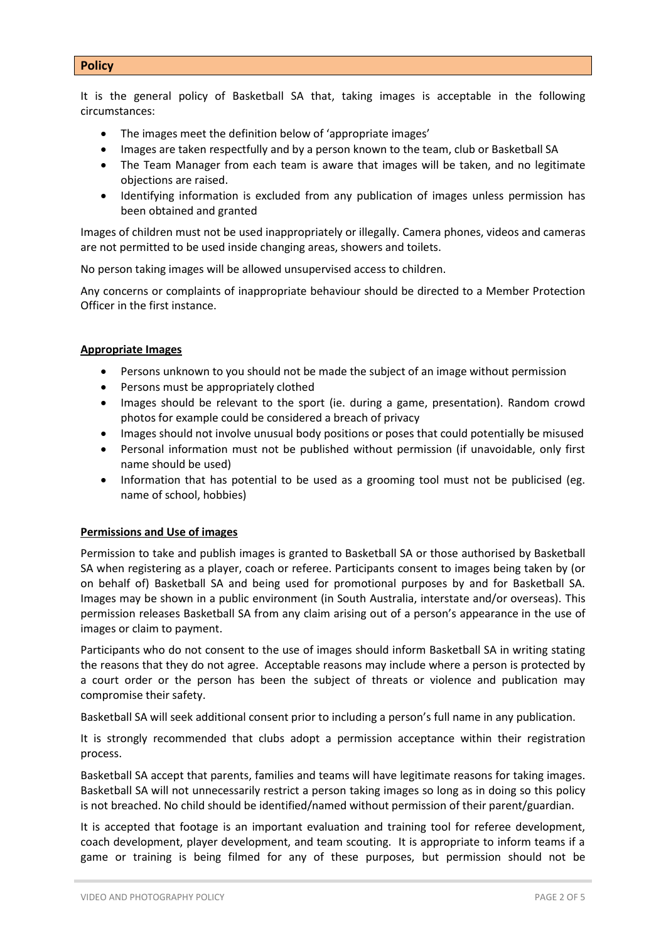#### **Policy**

It is the general policy of Basketball SA that, taking images is acceptable in the following circumstances:

- The images meet the definition below of 'appropriate images'
- Images are taken respectfully and by a person known to the team, club or Basketball SA
- The Team Manager from each team is aware that images will be taken, and no legitimate objections are raised.
- Identifying information is excluded from any publication of images unless permission has been obtained and granted

Images of children must not be used inappropriately or illegally. Camera phones, videos and cameras are not permitted to be used inside changing areas, showers and toilets.

No person taking images will be allowed unsupervised access to children.

Any concerns or complaints of inappropriate behaviour should be directed to a Member Protection Officer in the first instance.

#### **Appropriate Images**

- Persons unknown to you should not be made the subject of an image without permission
- Persons must be appropriately clothed
- Images should be relevant to the sport (ie. during a game, presentation). Random crowd photos for example could be considered a breach of privacy
- Images should not involve unusual body positions or poses that could potentially be misused
- Personal information must not be published without permission (if unavoidable, only first name should be used)
- Information that has potential to be used as a grooming tool must not be publicised (eg. name of school, hobbies)

#### **Permissions and Use of images**

Permission to take and publish images is granted to Basketball SA or those authorised by Basketball SA when registering as a player, coach or referee. Participants consent to images being taken by (or on behalf of) Basketball SA and being used for promotional purposes by and for Basketball SA. Images may be shown in a public environment (in South Australia, interstate and/or overseas). This permission releases Basketball SA from any claim arising out of a person's appearance in the use of images or claim to payment.

Participants who do not consent to the use of images should inform Basketball SA in writing stating the reasons that they do not agree. Acceptable reasons may include where a person is protected by a court order or the person has been the subject of threats or violence and publication may compromise their safety.

Basketball SA will seek additional consent prior to including a person's full name in any publication.

It is strongly recommended that clubs adopt a permission acceptance within their registration process.

Basketball SA accept that parents, families and teams will have legitimate reasons for taking images. Basketball SA will not unnecessarily restrict a person taking images so long as in doing so this policy is not breached. No child should be identified/named without permission of their parent/guardian.

It is accepted that footage is an important evaluation and training tool for referee development, coach development, player development, and team scouting. It is appropriate to inform teams if a game or training is being filmed for any of these purposes, but permission should not be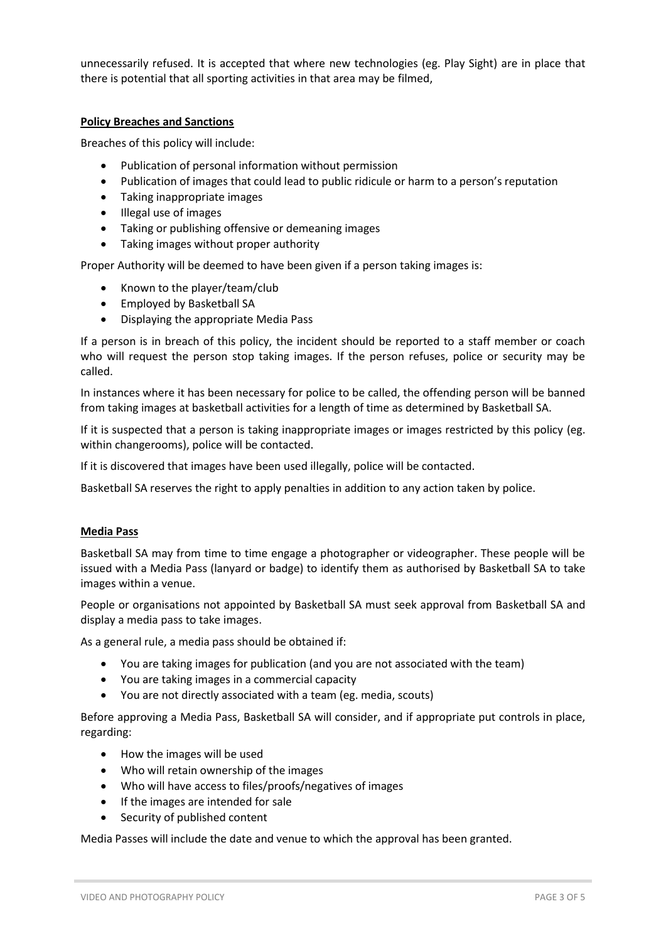unnecessarily refused. It is accepted that where new technologies (eg. Play Sight) are in place that there is potential that all sporting activities in that area may be filmed,

### **Policy Breaches and Sanctions**

Breaches of this policy will include:

- Publication of personal information without permission
- Publication of images that could lead to public ridicule or harm to a person's reputation
- Taking inappropriate images
- Illegal use of images
- Taking or publishing offensive or demeaning images
- Taking images without proper authority

Proper Authority will be deemed to have been given if a person taking images is:

- Known to the player/team/club
- Employed by Basketball SA
- Displaying the appropriate Media Pass

If a person is in breach of this policy, the incident should be reported to a staff member or coach who will request the person stop taking images. If the person refuses, police or security may be called.

In instances where it has been necessary for police to be called, the offending person will be banned from taking images at basketball activities for a length of time as determined by Basketball SA.

If it is suspected that a person is taking inappropriate images or images restricted by this policy (eg. within changerooms), police will be contacted.

If it is discovered that images have been used illegally, police will be contacted.

Basketball SA reserves the right to apply penalties in addition to any action taken by police.

#### **Media Pass**

Basketball SA may from time to time engage a photographer or videographer. These people will be issued with a Media Pass (lanyard or badge) to identify them as authorised by Basketball SA to take images within a venue.

People or organisations not appointed by Basketball SA must seek approval from Basketball SA and display a media pass to take images.

As a general rule, a media pass should be obtained if:

- You are taking images for publication (and you are not associated with the team)
- You are taking images in a commercial capacity
- You are not directly associated with a team (eg. media, scouts)

Before approving a Media Pass, Basketball SA will consider, and if appropriate put controls in place, regarding:

- How the images will be used
- Who will retain ownership of the images
- Who will have access to files/proofs/negatives of images
- If the images are intended for sale
- Security of published content

Media Passes will include the date and venue to which the approval has been granted.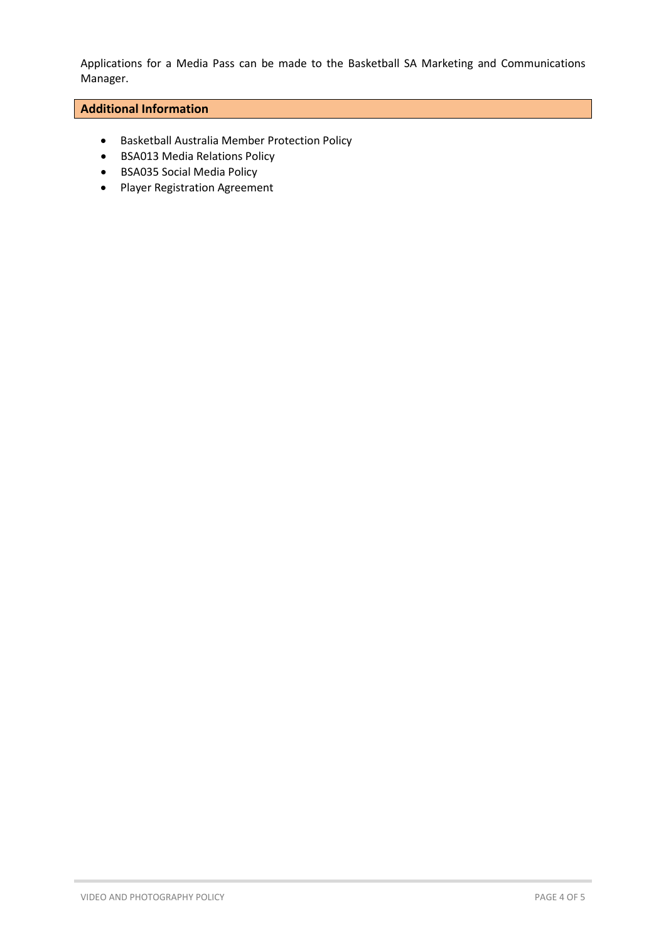Applications for a Media Pass can be made to the Basketball SA Marketing and Communications Manager.

### **Additional Information**

- Basketball Australia Member Protection Policy
- BSA013 Media Relations Policy
- BSA035 Social Media Policy
- Player Registration Agreement